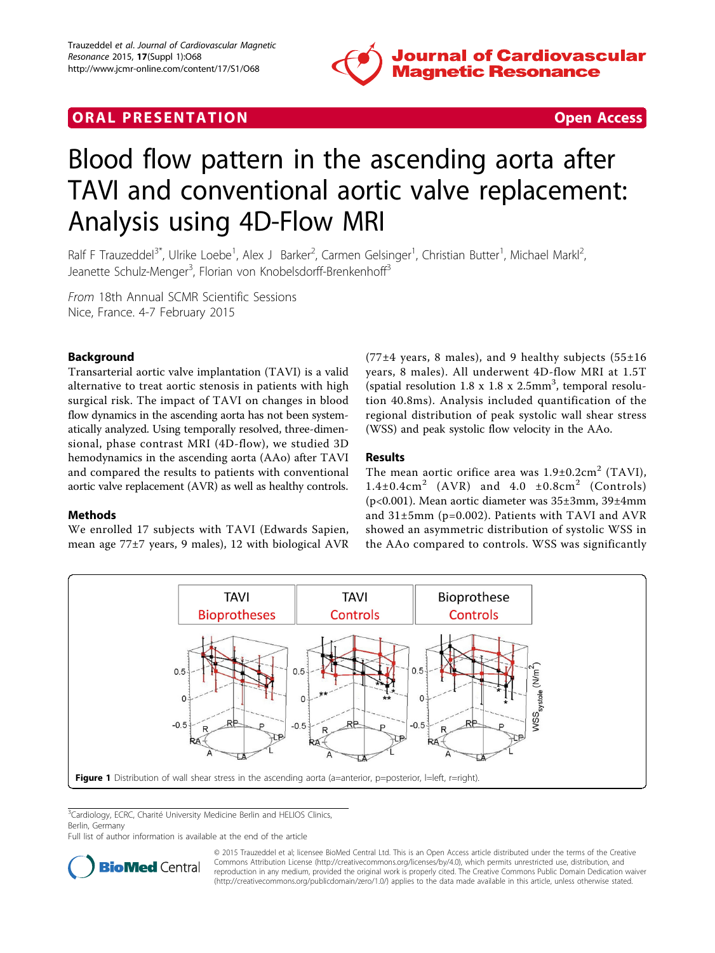

# <span id="page-0-0"></span>**ORAL PRESENTATION ORAL PRESENTATION**



# Blood flow pattern in the ascending aorta after TAVI and conventional aortic valve replacement: Analysis using 4D-Flow MRI

Ralf F Trauzeddel<sup>3\*</sup>, Ulrike Loebe<sup>1</sup>, Alex J Barker<sup>2</sup>, Carmen Gelsinger<sup>1</sup>, Christian Butter<sup>1</sup>, Michael Markl<sup>2</sup> .<br>, Jeanette Schulz-Menger<sup>3</sup>, Florian von Knobelsdorff-Brenkenhoff<sup>3</sup>

From 18th Annual SCMR Scientific Sessions Nice, France. 4-7 February 2015

## Background

Transarterial aortic valve implantation (TAVI) is a valid alternative to treat aortic stenosis in patients with high surgical risk. The impact of TAVI on changes in blood flow dynamics in the ascending aorta has not been systematically analyzed. Using temporally resolved, three-dimensional, phase contrast MRI (4D-flow), we studied 3D hemodynamics in the ascending aorta (AAo) after TAVI and compared the results to patients with conventional aortic valve replacement (AVR) as well as healthy controls.

#### Methods

We enrolled 17 subjects with TAVI (Edwards Sapien, mean age 77±7 years, 9 males), 12 with biological AVR (77 $\pm$ 4 years, 8 males), and 9 healthy subjects (55 $\pm$ 16 years, 8 males). All underwent 4D-flow MRI at 1.5T (spatial resolution 1.8 x 1.8 x 2.5mm<sup>3</sup>, temporal resolution 40.8ms). Analysis included quantification of the regional distribution of peak systolic wall shear stress (WSS) and peak systolic flow velocity in the AAo.

### Results

The mean aortic orifice area was  $1.9\pm0.2 \text{cm}^2$  (TAVI),  $1.4\pm0.4$ cm<sup>2</sup> (AVR) and  $4.0\pm0.8$ cm<sup>2</sup> (Controls) (p<0.001). Mean aortic diameter was 35±3mm, 39±4mm and 31±5mm (p=0.002). Patients with TAVI and AVR showed an asymmetric distribution of systolic WSS in the AAo compared to controls. WSS was significantly



<sup>3</sup>Cardiology, ECRC, Charité University Medicine Berlin and HELIOS Clinics, Berlin, Germany

Full list of author information is available at the end of the article



© 2015 Trauzeddel et al; licensee BioMed Central Ltd. This is an Open Access article distributed under the terms of the Creative Commons Attribution License [\(http://creativecommons.org/licenses/by/4.0](http://creativecommons.org/licenses/by/4.0)), which permits unrestricted use, distribution, and reproduction in any medium, provided the original work is properly cited. The Creative Commons Public Domain Dedication waiver [\(http://creativecommons.org/publicdomain/zero/1.0/](http://creativecommons.org/publicdomain/zero/1.0/)) applies to the data made available in this article, unless otherwise stated.